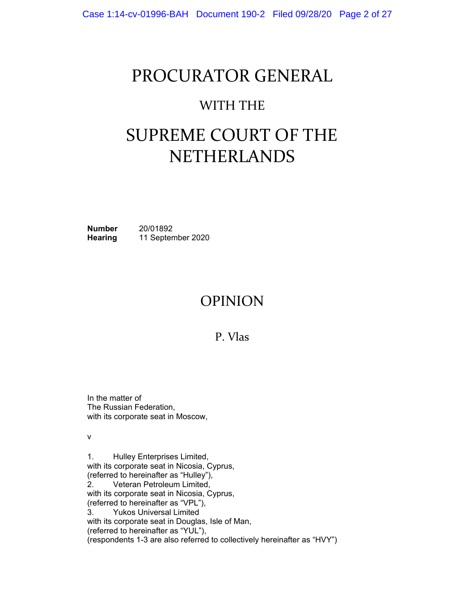## PROCURATOR GENERAL

### WITH THE

# SUPREME COURT OF THE NETHERLANDS

**Number** 20/01892 **Hearing** 11 September 2020

### OPINION

P. Vlas

In the matter of The Russian Federation, with its corporate seat in Moscow,

v

1. Hulley Enterprises Limited, with its corporate seat in Nicosia, Cyprus, (referred to hereinafter as "Hulley"), 2. Veteran Petroleum Limited, with its corporate seat in Nicosia, Cyprus, (referred to hereinafter as "VPL"), 3. Yukos Universal Limited with its corporate seat in Douglas, Isle of Man, (referred to hereinafter as "YUL"), (respondents 1-3 are also referred to collectively hereinafter as "HVY")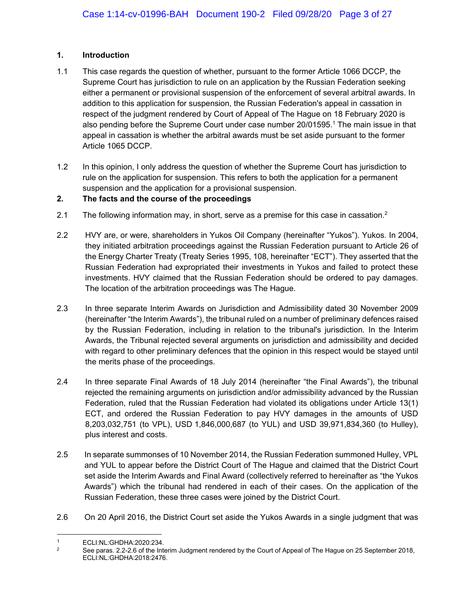#### **1. Introduction**

- 1.1 This case regards the question of whether, pursuant to the former Article 1066 DCCP, the Supreme Court has jurisdiction to rule on an application by the Russian Federation seeking either a permanent or provisional suspension of the enforcement of several arbitral awards. In addition to this application for suspension, the Russian Federation's appeal in cassation in respect of the judgment rendered by Court of Appeal of The Hague on 18 February 2020 is also pending before the Supreme Court under case number 20/01595.<sup>1</sup> The main issue in that appeal in cassation is whether the arbitral awards must be set aside pursuant to the former Article 1065 DCCP.
- 1.2 In this opinion, I only address the question of whether the Supreme Court has jurisdiction to rule on the application for suspension. This refers to both the application for a permanent suspension and the application for a provisional suspension.

#### **2. The facts and the course of the proceedings**

- 2.1 The following information may, in short, serve as a premise for this case in cassation.<sup>2</sup>
- 2.2 HVY are, or were, shareholders in Yukos Oil Company (hereinafter "Yukos"). Yukos. In 2004, they initiated arbitration proceedings against the Russian Federation pursuant to Article 26 of the Energy Charter Treaty (Treaty Series 1995, 108, hereinafter "ECT"). They asserted that the Russian Federation had expropriated their investments in Yukos and failed to protect these investments. HVY claimed that the Russian Federation should be ordered to pay damages. The location of the arbitration proceedings was The Hague.
- 2.3 In three separate Interim Awards on Jurisdiction and Admissibility dated 30 November 2009 (hereinafter "the Interim Awards"), the tribunal ruled on a number of preliminary defences raised by the Russian Federation, including in relation to the tribunal's jurisdiction. In the Interim Awards, the Tribunal rejected several arguments on jurisdiction and admissibility and decided with regard to other preliminary defences that the opinion in this respect would be stayed until the merits phase of the proceedings.
- 2.4 In three separate Final Awards of 18 July 2014 (hereinafter "the Final Awards"), the tribunal rejected the remaining arguments on jurisdiction and/or admissibility advanced by the Russian Federation, ruled that the Russian Federation had violated its obligations under Article 13(1) ECT, and ordered the Russian Federation to pay HVY damages in the amounts of USD 8,203,032,751 (to VPL), USD 1,846,000,687 (to YUL) and USD 39,971,834,360 (to Hulley), plus interest and costs.
- 2.5 In separate summonses of 10 November 2014, the Russian Federation summoned Hulley, VPL and YUL to appear before the District Court of The Hague and claimed that the District Court set aside the Interim Awards and Final Award (collectively referred to hereinafter as "the Yukos Awards") which the tribunal had rendered in each of their cases. On the application of the Russian Federation, these three cases were joined by the District Court.
- 2.6 On 20 April 2016, the District Court set aside the Yukos Awards in a single judgment that was

 $\overline{a}$ 

<sup>1</sup> ECLI:NL:GHDHA:2020:234.<br><sup>2</sup> See paras. 2.2-2.6 of the Interim Judgment rendered by the Court of Appeal of The Hague on 25 September 2018, ECLI:NL:GHDHA:2018:2476.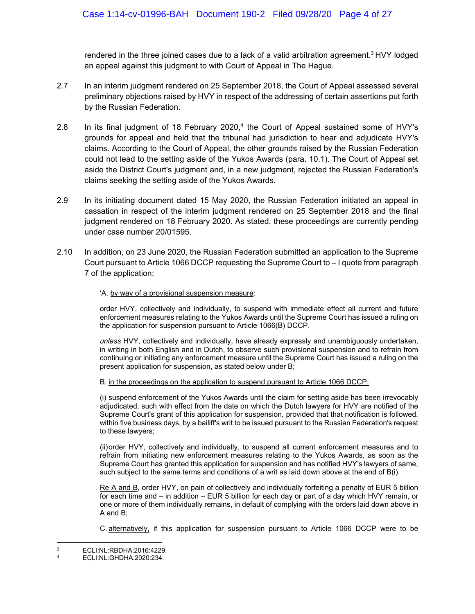rendered in the three joined cases due to a lack of a valid arbitration agreement.<sup>3</sup> HVY lodged an appeal against this judgment to with Court of Appeal in The Hague.

- 2.7 In an interim judgment rendered on 25 September 2018, the Court of Appeal assessed several preliminary objections raised by HVY in respect of the addressing of certain assertions put forth by the Russian Federation.
- 2.8 In its final judgment of 18 February 2020,<sup>4</sup> the Court of Appeal sustained some of HVY's grounds for appeal and held that the tribunal had jurisdiction to hear and adjudicate HVY's claims. According to the Court of Appeal, the other grounds raised by the Russian Federation could not lead to the setting aside of the Yukos Awards (para. 10.1). The Court of Appeal set aside the District Court's judgment and, in a new judgment, rejected the Russian Federation's claims seeking the setting aside of the Yukos Awards.
- 2.9 In its initiating document dated 15 May 2020, the Russian Federation initiated an appeal in cassation in respect of the interim judgment rendered on 25 September 2018 and the final judgment rendered on 18 February 2020. As stated, these proceedings are currently pending under case number 20/01595.
- 2.10 In addition, on 23 June 2020, the Russian Federation submitted an application to the Supreme Court pursuant to Article 1066 DCCP requesting the Supreme Court to – I quote from paragraph 7 of the application:

#### 'A. by way of a provisional suspension measure:

order HVY, collectively and individually, to suspend with immediate effect all current and future enforcement measures relating to the Yukos Awards until the Supreme Court has issued a ruling on the application for suspension pursuant to Article 1066(B) DCCP.

*unless* HVY, collectively and individually, have already expressly and unambiguously undertaken, in writing in both English and in Dutch, to observe such provisional suspension and to refrain from continuing or initiating any enforcement measure until the Supreme Court has issued a ruling on the present application for suspension, as stated below under B;

#### B. in the proceedings on the application to suspend pursuant to Article 1066 DCCP:

(i) suspend enforcement of the Yukos Awards until the claim for setting aside has been irrevocably adjudicated, such with effect from the date on which the Dutch lawyers for HVY are notified of the Supreme Court's grant of this application for suspension, provided that that notification is followed, within five business days, by a bailiff's writ to be issued pursuant to the Russian Federation's request to these lawyers;

(ii) order HVY, collectively and individually, to suspend all current enforcement measures and to refrain from initiating new enforcement measures relating to the Yukos Awards, as soon as the Supreme Court has granted this application for suspension and has notified HVY's lawyers of same, such subject to the same terms and conditions of a writ as laid down above at the end of B(i).

Re A and B, order HVY, on pain of collectively and individually forfeiting a penalty of EUR 5 billion for each time and – in addition – EUR 5 billion for each day or part of a day which HVY remain, or one or more of them individually remains, in default of complying with the orders laid down above in A and B;

C. alternatively, if this application for suspension pursuant to Article 1066 DCCP were to be

 $\overline{3}$  $\frac{3}{4}$  ECLI:NL:RBDHA:2016:4229.

<sup>4</sup> ECLI:NL:GHDHA:2020:234.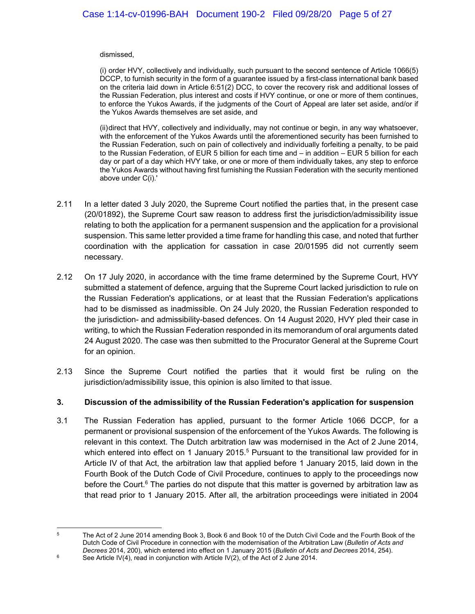#### dismissed,

(i) order HVY, collectively and individually, such pursuant to the second sentence of Article 1066(5) DCCP, to furnish security in the form of a guarantee issued by a first-class international bank based on the criteria laid down in Article 6:51(2) DCC, to cover the recovery risk and additional losses of the Russian Federation, plus interest and costs if HVY continue, or one or more of them continues, to enforce the Yukos Awards, if the judgments of the Court of Appeal are later set aside, and/or if the Yukos Awards themselves are set aside, and

(ii) direct that HVY, collectively and individually, may not continue or begin, in any way whatsoever, with the enforcement of the Yukos Awards until the aforementioned security has been furnished to the Russian Federation, such on pain of collectively and individually forfeiting a penalty, to be paid to the Russian Federation, of EUR 5 billion for each time and – in addition – EUR 5 billion for each day or part of a day which HVY take, or one or more of them individually takes, any step to enforce the Yukos Awards without having first furnishing the Russian Federation with the security mentioned above under C(i).'

- 2.11 In a letter dated 3 July 2020, the Supreme Court notified the parties that, in the present case (20/01892), the Supreme Court saw reason to address first the jurisdiction/admissibility issue relating to both the application for a permanent suspension and the application for a provisional suspension. This same letter provided a time frame for handling this case, and noted that further coordination with the application for cassation in case 20/01595 did not currently seem necessary.
- 2.12 On 17 July 2020, in accordance with the time frame determined by the Supreme Court, HVY submitted a statement of defence, arguing that the Supreme Court lacked jurisdiction to rule on the Russian Federation's applications, or at least that the Russian Federation's applications had to be dismissed as inadmissible. On 24 July 2020, the Russian Federation responded to the jurisdiction- and admissibility-based defences. On 14 August 2020, HVY pled their case in writing, to which the Russian Federation responded in its memorandum of oral arguments dated 24 August 2020. The case was then submitted to the Procurator General at the Supreme Court for an opinion.
- 2.13 Since the Supreme Court notified the parties that it would first be ruling on the jurisdiction/admissibility issue, this opinion is also limited to that issue.

#### **3. Discussion of the admissibility of the Russian Federation's application for suspension**

3.1 The Russian Federation has applied, pursuant to the former Article 1066 DCCP, for a permanent or provisional suspension of the enforcement of the Yukos Awards. The following is relevant in this context. The Dutch arbitration law was modernised in the Act of 2 June 2014, which entered into effect on 1 January 2015.<sup>5</sup> Pursuant to the transitional law provided for in Article IV of that Act, the arbitration law that applied before 1 January 2015, laid down in the Fourth Book of the Dutch Code of Civil Procedure, continues to apply to the proceedings now before the Court.<sup>6</sup> The parties do not dispute that this matter is governed by arbitration law as that read prior to 1 January 2015. After all, the arbitration proceedings were initiated in 2004

 $5\overline{5}$ 

<sup>5</sup> The Act of 2 June 2014 amending Book 3, Book 6 and Book 10 of the Dutch Civil Code and the Fourth Book of the Dutch Code of Civil Procedure in connection with the modernisation of the Arbitration Law (*Bulletin of Acts and Decrees* 2014, 200), which entered into effect on 1 January 2015 (*Bulletin of Acts and Decrees* 2014, 254).<br><sup>6</sup> See Article IV(4), read in conjunction with Article IV(2), of the Act of 2 June 2014.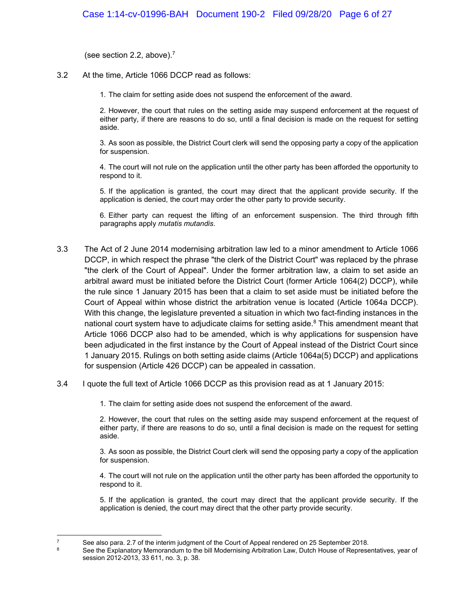(see section 2.2, above).<sup>7</sup>

3.2 At the time, Article 1066 DCCP read as follows:

1. The claim for setting aside does not suspend the enforcement of the award.

2. However, the court that rules on the setting aside may suspend enforcement at the request of either party, if there are reasons to do so, until a final decision is made on the request for setting aside.

3. As soon as possible, the District Court clerk will send the opposing party a copy of the application for suspension.

4. The court will not rule on the application until the other party has been afforded the opportunity to respond to it.

5. If the application is granted, the court may direct that the applicant provide security. If the application is denied, the court may order the other party to provide security.

6. Either party can request the lifting of an enforcement suspension. The third through fifth paragraphs apply *mutatis mutandis*.

- 3.3 The Act of 2 June 2014 modernising arbitration law led to a minor amendment to Article 1066 DCCP, in which respect the phrase "the clerk of the District Court" was replaced by the phrase "the clerk of the Court of Appeal". Under the former arbitration law, a claim to set aside an arbitral award must be initiated before the District Court (former Article 1064(2) DCCP), while the rule since 1 January 2015 has been that a claim to set aside must be initiated before the Court of Appeal within whose district the arbitration venue is located (Article 1064a DCCP). With this change, the legislature prevented a situation in which two fact-finding instances in the national court system have to adjudicate claims for setting aside. $8$  This amendment meant that Article 1066 DCCP also had to be amended, which is why applications for suspension have been adjudicated in the first instance by the Court of Appeal instead of the District Court since 1 January 2015. Rulings on both setting aside claims (Article 1064a(5) DCCP) and applications for suspension (Article 426 DCCP) can be appealed in cassation.
- 3.4 I quote the full text of Article 1066 DCCP as this provision read as at 1 January 2015:

1. The claim for setting aside does not suspend the enforcement of the award.

2. However, the court that rules on the setting aside may suspend enforcement at the request of either party, if there are reasons to do so, until a final decision is made on the request for setting aside.

3. As soon as possible, the District Court clerk will send the opposing party a copy of the application for suspension.

4. The court will not rule on the application until the other party has been afforded the opportunity to respond to it.

5. If the application is granted, the court may direct that the applicant provide security. If the application is denied, the court may direct that the other party provide security.

 $\overline{7}$ 

The See also para. 2.7 of the interim judgment of the Court of Appeal rendered on 25 September 2018.<br><sup>8</sup> See the Explanatory Memorandum to the bill Modernising Arbitration Law, Dutch House of Representatives, year of session 2012-2013, 33 611, no. 3, p. 38.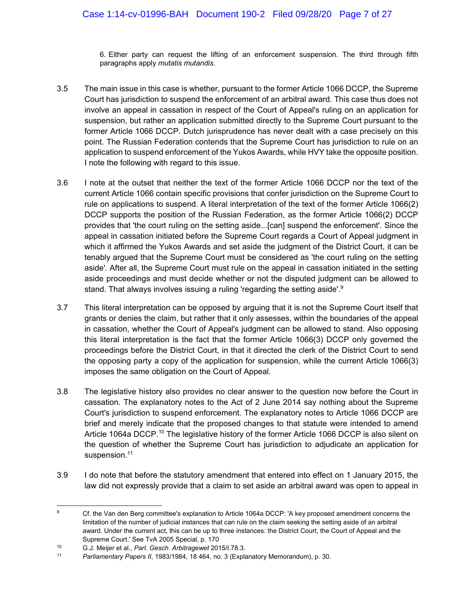6. Either party can request the lifting of an enforcement suspension. The third through fifth paragraphs apply *mutatis mutandis*.

- 3.5 The main issue in this case is whether, pursuant to the former Article 1066 DCCP, the Supreme Court has jurisdiction to suspend the enforcement of an arbitral award. This case thus does not involve an appeal in cassation in respect of the Court of Appeal's ruling on an application for suspension, but rather an application submitted directly to the Supreme Court pursuant to the former Article 1066 DCCP. Dutch jurisprudence has never dealt with a case precisely on this point. The Russian Federation contends that the Supreme Court has jurisdiction to rule on an application to suspend enforcement of the Yukos Awards, while HVY take the opposite position. I note the following with regard to this issue.
- 3.6 I note at the outset that neither the text of the former Article 1066 DCCP nor the text of the current Article 1066 contain specific provisions that confer jurisdiction on the Supreme Court to rule on applications to suspend. A literal interpretation of the text of the former Article 1066(2) DCCP supports the position of the Russian Federation, as the former Article 1066(2) DCCP provides that 'the court ruling on the setting aside...[can] suspend the enforcement'. Since the appeal in cassation initiated before the Supreme Court regards a Court of Appeal judgment in which it affirmed the Yukos Awards and set aside the judgment of the District Court, it can be tenably argued that the Supreme Court must be considered as 'the court ruling on the setting aside'. After all, the Supreme Court must rule on the appeal in cassation initiated in the setting aside proceedings and must decide whether or not the disputed judgment can be allowed to stand. That always involves issuing a ruling 'regarding the setting aside'.<sup>9</sup>
- 3.7 This literal interpretation can be opposed by arguing that it is not the Supreme Court itself that grants or denies the claim, but rather that it only assesses, within the boundaries of the appeal in cassation, whether the Court of Appeal's judgment can be allowed to stand. Also opposing this literal interpretation is the fact that the former Article 1066(3) DCCP only governed the proceedings before the District Court, in that it directed the clerk of the District Court to send the opposing party a copy of the application for suspension, while the current Article 1066(3) imposes the same obligation on the Court of Appeal.
- 3.8 The legislative history also provides no clear answer to the question now before the Court in cassation. The explanatory notes to the Act of 2 June 2014 say nothing about the Supreme Court's jurisdiction to suspend enforcement. The explanatory notes to Article 1066 DCCP are brief and merely indicate that the proposed changes to that statute were intended to amend Article 1064a DCCP.<sup>10</sup> The legislative history of the former Article 1066 DCCP is also silent on the question of whether the Supreme Court has jurisdiction to adjudicate an application for suspension.<sup>11</sup>
- 3.9 I do note that before the statutory amendment that entered into effect on 1 January 2015, the law did not expressly provide that a claim to set aside an arbitral award was open to appeal in

 $\overline{9}$ 9 Cf. the Van den Berg committee's explanation to Article 1064a DCCP: 'A key proposed amendment concerns the limitation of the number of judicial instances that can rule on the claim seeking the setting aside of an arbitral award. Under the current act, this can be up to three instances: the District Court, the Court of Appeal and the Supreme Court.' See TvA 2005 Special, p. 170<br><sup>10</sup> G.J. Meijer et al., *Parl. Gesch. Arbitragewet* 2015/I.78.3.<br><sup>11</sup> *Parliamentary Papers II*, 1983/1984, 18 464, no. 3 (Explanatory Memorandum), p. 30.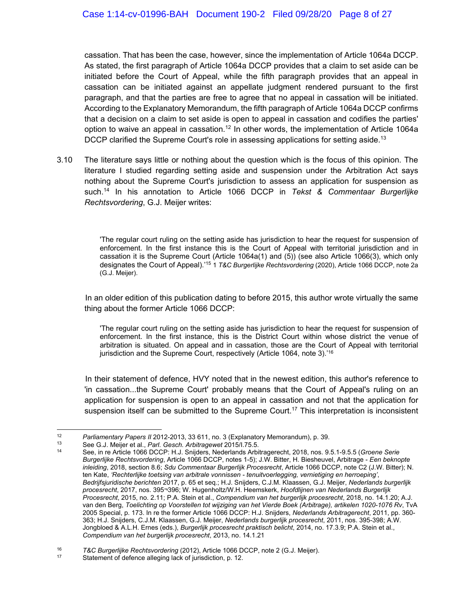cassation. That has been the case, however, since the implementation of Article 1064a DCCP. As stated, the first paragraph of Article 1064a DCCP provides that a claim to set aside can be initiated before the Court of Appeal, while the fifth paragraph provides that an appeal in cassation can be initiated against an appellate judgment rendered pursuant to the first paragraph, and that the parties are free to agree that no appeal in cassation will be initiated. According to the Explanatory Memorandum, the fifth paragraph of Article 1064a DCCP confirms that a decision on a claim to set aside is open to appeal in cassation and codifies the parties' option to waive an appeal in cassation.<sup>12</sup> In other words, the implementation of Article 1064a DCCP clarified the Supreme Court's role in assessing applications for setting aside.<sup>13</sup>

3.10 The literature says little or nothing about the question which is the focus of this opinion. The literature I studied regarding setting aside and suspension under the Arbitration Act says nothing about the Supreme Court's jurisdiction to assess an application for suspension as such.14 In his annotation to Article 1066 DCCP in *Tekst & Commentaar Burgerlijke Rechtsvordering*, G.J. Meijer writes:

> 'The regular court ruling on the setting aside has jurisdiction to hear the request for suspension of enforcement. In the first instance this is the Court of Appeal with territorial jurisdiction and in cassation it is the Supreme Court (Article 1064a(1) and (5)) (see also Article 1066(3), which only designates the Court of Appeal).'15 1 *T&C Burgerlijke Rechtsvordering* (2020), Article 1066 DCCP, note 2a (G.J. Meijer).

In an older edition of this publication dating to before 2015, this author wrote virtually the same thing about the former Article 1066 DCCP:

'The regular court ruling on the setting aside has jurisdiction to hear the request for suspension of enforcement. In the first instance, this is the District Court within whose district the venue of arbitration is situated. On appeal and in cassation, those are the Court of Appeal with territorial jurisdiction and the Supreme Court, respectively (Article 1064, note 3).<sup>'16</sup>

In their statement of defence, HVY noted that in the newest edition, this author's reference to 'in cassation...the Supreme Court' probably means that the Court of Appeal's ruling on an application for suspension is open to an appeal in cassation and not that the application for suspension itself can be submitted to the Supreme Court.<sup>17</sup> This interpretation is inconsistent

 $12$ 

Parliamentary Papers II 2012-2013, 33 611, no. 3 (Explanatory Memorandum), p. 39.<br><sup>13</sup> See G.J. Meijer et al., *Parl. Gesch. Arbitragewet* 2015/I.75.5.<br><sup>14</sup> See, in re Article 1066 DCCP: H.J. Snijders, Nederlands Arbitrage *Burgerlijke Rechtsvordering*, Article 1066 DCCP, notes 1-5); J.W. Bitter, H. Biesheuvel, Arbitrage - *Een beknopte inleiding*, 2018, section 8.6; *Sdu Commentaar Burgerlijk Procesrecht*, Article 1066 DCCP, note C2 (J.W. Bitter); N. ten Kate, *'Rechterlijke toetsing van arbitrale vonnissen - tenuitvoerlegging, vernietiging en herroeping'*, *Bedrijfsjuridische berichten* 2017, p. 65 et seq.; H.J. Snijders, C.J.M. Klaassen, G.J. Meijer, *Nederlands burgerlijk procesrecht*, 2017, nos. 395¬396; W. Hugenholtz/W.H. Heemskerk, *Hoofdlijnen van Nederlands Burgerlijk Procesrecht*, 2015, no. 2.11; P.A. Stein et al., *Compendium van het burgerlijk procesrecht*, 2018, no. 14.1.20; A.J. van den Berg, *Toelichting op Voorstellen tot wijziging van het Vierde Boek (Arbitrage), artikelen 1020-1076 Rv*, TvA 2005 Special, p. 173. In re the former Article 1066 DCCP: H.J. Snijders, *Nederlands Arbitragerecht*, 2011, pp. 360- 363; H.J. Snijders, C.J.M. Klaassen, G.J. Meijer, *Nederlands burgerlijk procesrecht*, 2011, nos. 395-398; A.W. Jongbloed & A.L.H. Ernes (eds.), *Burgerlijk procesrecht praktisch belicht*, 2014, no. 17.3.9; P.A. Stein et al., *Compendium van het burgerlijk procesrecht*, 2013, no. 14.1.21

<sup>&</sup>lt;sup>16</sup> T&C Burgerlijke Rechtsvordering (2012), Article 1066 DCCP, note 2 (G.J. Meijer).<br><sup>17</sup> Statement of defence alleging lack of jurisdiction, p. 12.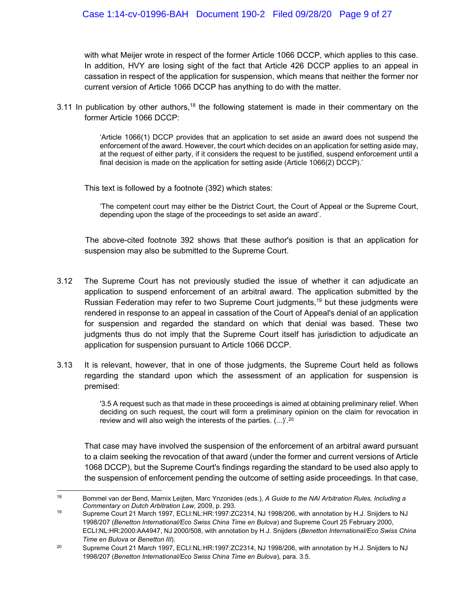with what Meijer wrote in respect of the former Article 1066 DCCP, which applies to this case. In addition, HVY are losing sight of the fact that Article 426 DCCP applies to an appeal in cassation in respect of the application for suspension, which means that neither the former nor current version of Article 1066 DCCP has anything to do with the matter.

3.11 In publication by other authors,<sup>18</sup> the following statement is made in their commentary on the former Article 1066 DCCP:

> 'Article 1066(1) DCCP provides that an application to set aside an award does not suspend the enforcement of the award. However, the court which decides on an application for setting aside may, at the request of either party, if it considers the request to be justified, suspend enforcement until a final decision is made on the application for setting aside (Article 1066(2) DCCP).'

This text is followed by a footnote (392) which states:

'The competent court may either be the District Court, the Court of Appeal or the Supreme Court, depending upon the stage of the proceedings to set aside an award'.

The above-cited footnote 392 shows that these author's position is that an application for suspension may also be submitted to the Supreme Court.

- 3.12 The Supreme Court has not previously studied the issue of whether it can adjudicate an application to suspend enforcement of an arbitral award. The application submitted by the Russian Federation may refer to two Supreme Court judgments,<sup>19</sup> but these judgments were rendered in response to an appeal in cassation of the Court of Appeal's denial of an application for suspension and regarded the standard on which that denial was based. These two judgments thus do not imply that the Supreme Court itself has jurisdiction to adjudicate an application for suspension pursuant to Article 1066 DCCP.
- 3.13 It is relevant, however, that in one of those judgments, the Supreme Court held as follows regarding the standard upon which the assessment of an application for suspension is premised:

'3.5 A request such as that made in these proceedings is aimed at obtaining preliminary relief. When deciding on such request, the court will form a preliminary opinion on the claim for revocation in review and will also weigh the interests of the parties. (...)'. 20

That case may have involved the suspension of the enforcement of an arbitral award pursuant to a claim seeking the revocation of that award (under the former and current versions of Article 1068 DCCP), but the Supreme Court's findings regarding the standard to be used also apply to the suspension of enforcement pending the outcome of setting aside proceedings. In that case,

 $\overline{a}$ 18 Bommel van der Bend, Marnix Leijten, Marc Ynzonides (eds.), *A Guide to the NAI Arbitration Rules, Including a Commentary on Dutch Arbitration Law*, 2009, p. 293.<br><sup>19</sup> Supreme Court 21 March 1997, ECLI:NL:HR:1997:ZC2314, NJ 1998/206, with annotation by H.J. Snijders to NJ

<sup>1998/207 (</sup>*Benetton International/Eco Swiss China Time en Bulova*) and Supreme Court 25 February 2000, ECLI:NL:HR:2000:AA4947, NJ 2000/508, with annotation by H.J. Snijders (*Benetton International/Eco Swiss China Time en Bulova* or *Benetton III*).<br><sup>20</sup> Supreme Court 21 March 1997, ECLI:NL:HR:1997:ZC2314, NJ 1998/206, with annotation by H.J. Snijders to NJ

<sup>1998/207 (</sup>*Benetton International/Eco Swiss China Time en Bulova*), para. 3.5.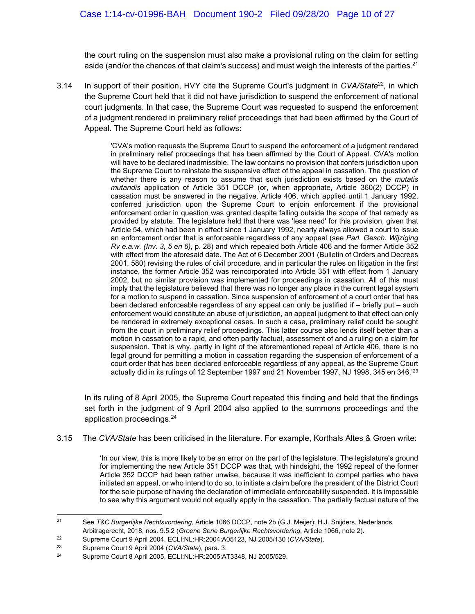the court ruling on the suspension must also make a provisional ruling on the claim for setting aside (and/or the chances of that claim's success) and must weigh the interests of the parties.<sup>21</sup>

3.14 In support of their position, HVY cite the Supreme Court's judgment in *CVA/State*<sup>22</sup>*,* in which the Supreme Court held that it did not have jurisdiction to suspend the enforcement of national court judgments. In that case, the Supreme Court was requested to suspend the enforcement of a judgment rendered in preliminary relief proceedings that had been affirmed by the Court of Appeal. The Supreme Court held as follows:

> 'CVA's motion requests the Supreme Court to suspend the enforcement of a judgment rendered in preliminary relief proceedings that has been affirmed by the Court of Appeal. CVA's motion will have to be declared inadmissible. The law contains no provision that confers jurisdiction upon the Supreme Court to reinstate the suspensive effect of the appeal in cassation. The question of whether there is any reason to assume that such jurisdiction exists based on the *mutatis mutandis* application of Article 351 DCCP (or, when appropriate, Article 360(2) DCCP) in cassation must be answered in the negative. Article 406, which applied until 1 January 1992, conferred jurisdiction upon the Supreme Court to enjoin enforcement if the provisional enforcement order in question was granted despite falling outside the scope of that remedy as provided by statute. The legislature held that there was 'less need' for this provision, given that Article 54, which had been in effect since 1 January 1992, nearly always allowed a court to issue an enforcement order that is enforceable regardless of any appeal (see *Parl. Gesch. Wijziging Rv e.a.w. (Inv. 3, 5 en 6)*, p. 28) and which repealed both Article 406 and the former Article 352 with effect from the aforesaid date. The Act of 6 December 2001 (Bulletin of Orders and Decrees 2001, 580) revising the rules of civil procedure, and in particular the rules on litigation in the first instance, the former Article 352 was reincorporated into Article 351 with effect from 1 January 2002, but no similar provision was implemented for proceedings in cassation. All of this must imply that the legislature believed that there was no longer any place in the current legal system for a motion to suspend in cassation. Since suspension of enforcement of a court order that has been declared enforceable regardless of any appeal can only be justified if – briefly put – such enforcement would constitute an abuse of jurisdiction, an appeal judgment to that effect can only be rendered in extremely exceptional cases. In such a case, preliminary relief could be sought from the court in preliminary relief proceedings. This latter course also lends itself better than a motion in cassation to a rapid, and often partly factual, assessment of and a ruling on a claim for suspension. That is why, partly in light of the aforementioned repeal of Article 406, there is no legal ground for permitting a motion in cassation regarding the suspension of enforcement of a court order that has been declared enforceable regardless of any appeal, as the Supreme Court actually did in its rulings of 12 September 1997 and 21 November 1997, NJ 1998, 345 en 346.'23

In its ruling of 8 April 2005, the Supreme Court repeated this finding and held that the findings set forth in the judgment of 9 April 2004 also applied to the summons proceedings and the application proceedings.24

3.15 The *CVA/State* has been criticised in the literature. For example, Korthals Altes & Groen write:

'In our view, this is more likely to be an error on the part of the legislature. The legislature's ground for implementing the new Article 351 DCCP was that, with hindsight, the 1992 repeal of the former Article 352 DCCP had been rather unwise, because it was inefficient to compel parties who have initiated an appeal, or who intend to do so, to initiate a claim before the president of the District Court for the sole purpose of having the declaration of immediate enforceability suspended. It is impossible to see why this argument would not equally apply in the cassation. The partially factual nature of the

 $21$ 21 See *T&C Burgerlijke Rechtsvordering*, Article 1066 DCCP, note 2b (G.J. Meijer); H.J. Snijders, Nederlands Arbitragerecht, 2018, nos. 9.5.2 (*Groene Serie Burgerlijke Rechtsvordering*, Article 1066, note 2).<br>
Supreme Court 9 April 2004, ECLI:NL:HR:2004:A05123, NJ 2005/130 (CVA/State).<br>
Supreme Court 9 April 2004 (CVA/State), pa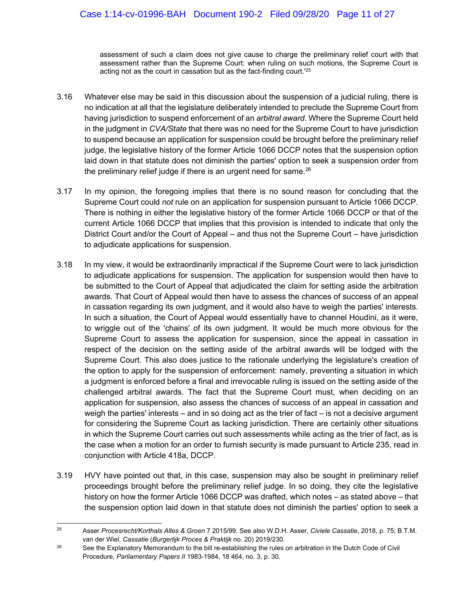assessment of such a claim does not give cause to charge the preliminary relief court with that assessment rather than the Supreme Court: when ruling on such motions, the Supreme Court is acting not as the court in cassation but as the fact-finding court.'25

- 3.16 Whatever else may be said in this discussion about the suspension of a judicial ruling, there is no indication at all that the legislature deliberately intended to preclude the Supreme Court from having jurisdiction to suspend enforcement of an *arbitral award*. Where the Supreme Court held in the judgment in *CVA/State* that there was no need for the Supreme Court to have jurisdiction to suspend because an application for suspension could be brought before the preliminary relief judge, the legislative history of the former Article 1066 DCCP notes that the suspension option laid down in that statute does not diminish the parties' option to seek a suspension order from the preliminary relief judge if there is an urgent need for same. $26$
- 3.17 In my opinion, the foregoing implies that there is no sound reason for concluding that the Supreme Court could *not* rule on an application for suspension pursuant to Article 1066 DCCP. There is nothing in either the legislative history of the former Article 1066 DCCP or that of the current Article 1066 DCCP that implies that this provision is intended to indicate that only the District Court and/or the Court of Appeal – and thus not the Supreme Court – have jurisdiction to adjudicate applications for suspension.
- 3.18 In my view, it would be extraordinarily impractical if the Supreme Court were to lack jurisdiction to adjudicate applications for suspension. The application for suspension would then have to be submitted to the Court of Appeal that adjudicated the claim for setting aside the arbitration awards. That Court of Appeal would then have to assess the chances of success of an appeal in cassation regarding its own judgment, and it would also have to weigh the parties' interests. In such a situation, the Court of Appeal would essentially have to channel Houdini, as it were, to wriggle out of the 'chains' of its own judgment. It would be much more obvious for the Supreme Court to assess the application for suspension, since the appeal in cassation in respect of the decision on the setting aside of the arbitral awards will be lodged with the Supreme Court. This also does justice to the rationale underlying the legislature's creation of the option to apply for the suspension of enforcement: namely, preventing a situation in which a judgment is enforced before a final and irrevocable ruling is issued on the setting aside of the challenged arbitral awards. The fact that the Supreme Court must, when deciding on an application for suspension, also assess the chances of success of an appeal in cassation and weigh the parties' interests – and in so doing act as the trier of fact – is not a decisive argument for considering the Supreme Court as lacking jurisdiction. There are certainly other situations in which the Supreme Court carries out such assessments while acting as the trier of fact, as is the case when a motion for an order to furnish security is made pursuant to Article 235, read in conjunction with Article 418a, DCCP.
- 3.19 HVY have pointed out that, in this case, suspension may also be sought in preliminary relief proceedings brought before the preliminary relief judge. In so doing, they cite the legislative history on how the former Article 1066 DCCP was drafted, which notes – as stated above – that the suspension option laid down in that statute does not diminish the parties' option to seek a

 $\overline{a}$ 25 Asser *Procesrecht/Korthals Altes & Groen* 7 2015/99. See also W.D.H. Asser, *Civiele Cassatie*, 2018, p. 75; B.T.M. van der Wiel, *Cassatie* (*Burgerlijk Proces & Praktijk* no. 20) 2019/230.<br><sup>26</sup> See the Explanatory Memorandum to the bill re-establishing the rules on arbitration in the Dutch Code of Civil

Procedure, *Parliamentary Papers II* 1983-1984, 18 464, no. 3, p. 30.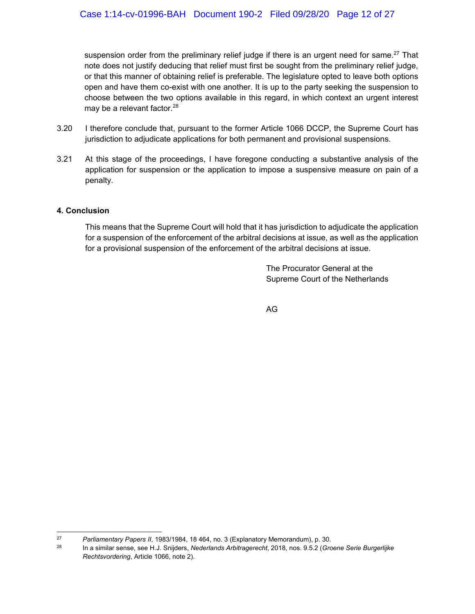suspension order from the preliminary relief judge if there is an urgent need for same.<sup>27</sup> That note does not justify deducing that relief must first be sought from the preliminary relief judge, or that this manner of obtaining relief is preferable. The legislature opted to leave both options open and have them co-exist with one another. It is up to the party seeking the suspension to choose between the two options available in this regard, in which context an urgent interest may be a relevant factor.<sup>28</sup>

- 3.20 I therefore conclude that, pursuant to the former Article 1066 DCCP, the Supreme Court has jurisdiction to adjudicate applications for both permanent and provisional suspensions.
- 3.21 At this stage of the proceedings, I have foregone conducting a substantive analysis of the application for suspension or the application to impose a suspensive measure on pain of a penalty.

#### **4. Conclusion**

This means that the Supreme Court will hold that it has jurisdiction to adjudicate the application for a suspension of the enforcement of the arbitral decisions at issue, as well as the application for a provisional suspension of the enforcement of the arbitral decisions at issue.

> The Procurator General at the Supreme Court of the Netherlands

AG

<sup>27</sup> 

<sup>27</sup>*Parliamentary Papers II*, 1983/1984, 18 464, no. 3 (Explanatory Memorandum), p. 30. 28 In a similar sense, see H.J. Snijders, *Nederlands Arbitragerecht*, 2018, nos. 9.5.2 (*Groene Serie Burgerlijke Rechtsvordering*, Article 1066, note 2).